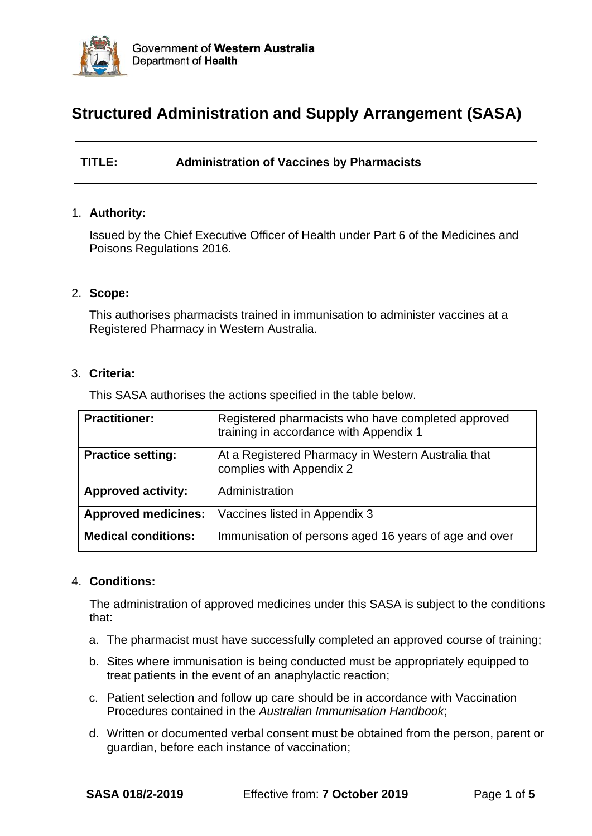

# **Structured Administration and Supply Arrangement (SASA)**

**TITLE: Administration of Vaccines by Pharmacists**

#### 1. **Authority:**

Issued by the Chief Executive Officer of Health under Part 6 of the Medicines and Poisons Regulations 2016.

#### 2. **Scope:**

This authorises pharmacists trained in immunisation to administer vaccines at a Registered Pharmacy in Western Australia.

#### 3. **Criteria:**

This SASA authorises the actions specified in the table below.

| <b>Practitioner:</b>       | Registered pharmacists who have completed approved<br>training in accordance with Appendix 1 |
|----------------------------|----------------------------------------------------------------------------------------------|
| <b>Practice setting:</b>   | At a Registered Pharmacy in Western Australia that<br>complies with Appendix 2               |
| <b>Approved activity:</b>  | Administration                                                                               |
| <b>Approved medicines:</b> | Vaccines listed in Appendix 3                                                                |
| <b>Medical conditions:</b> | Immunisation of persons aged 16 years of age and over                                        |

#### 4. **Conditions:**

The administration of approved medicines under this SASA is subject to the conditions that:

- a. The pharmacist must have successfully completed an approved course of training;
- b. Sites where immunisation is being conducted must be appropriately equipped to treat patients in the event of an anaphylactic reaction;
- c. Patient selection and follow up care should be in accordance with Vaccination Procedures contained in the *Australian Immunisation Handbook*;
- d. Written or documented verbal consent must be obtained from the person, parent or guardian, before each instance of vaccination;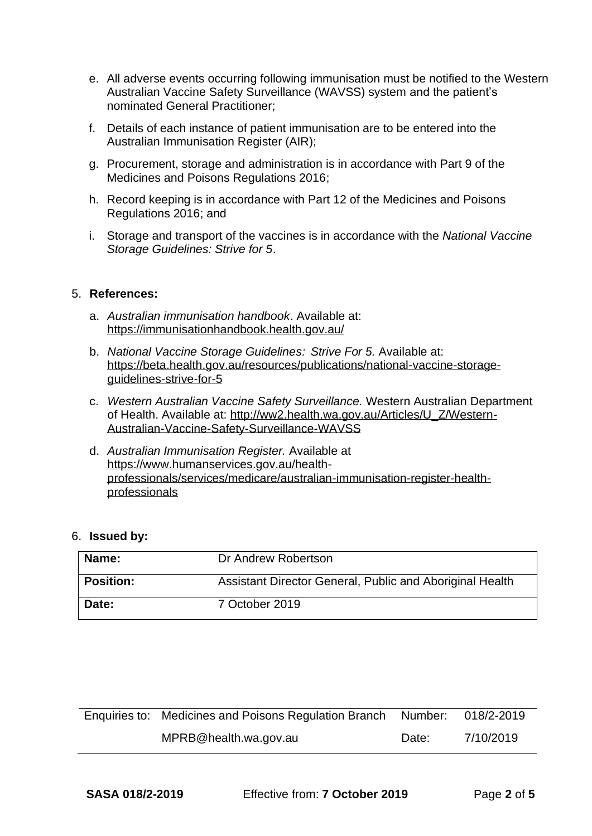- e. All adverse events occurring following immunisation must be notified to the Western Australian Vaccine Safety Surveillance (WAVSS) system and the patient's nominated General Practitioner;
- f. Details of each instance of patient immunisation are to be entered into the Australian Immunisation Register (AIR);
- g. Procurement, storage and administration is in accordance with Part 9 of the Medicines and Poisons Regulations 2016;
- h. Record keeping is in accordance with Part 12 of the Medicines and Poisons Regulations 2016; and
- i. Storage and transport of the vaccines is in accordance with the *National Vaccine Storage Guidelines: Strive for 5*.

#### 5. **References:**

- a. *Australian immunisation handbook*. Available at: <https://immunisationhandbook.health.gov.au/>
- b. *National Vaccine Storage Guidelines: Strive For 5.* Available at: [https://beta.health.gov.au/resources/publications/national-vaccine-storage](https://beta.health.gov.au/resources/publications/national-vaccine-storage-guidelines-strive-for-5)[guidelines-strive-for-5](https://beta.health.gov.au/resources/publications/national-vaccine-storage-guidelines-strive-for-5)
- c. *Western Australian Vaccine Safety Surveillance.* Western Australian Department of Health. Available at: [http://ww2.health.wa.gov.au/Articles/U\\_Z/Western-](http://ww2.health.wa.gov.au/Articles/U_Z/Western-Australian-Vaccine-Safety-Surveillance-WAVSS)[Australian-Vaccine-Safety-Surveillance-WAVSS](http://ww2.health.wa.gov.au/Articles/U_Z/Western-Australian-Vaccine-Safety-Surveillance-WAVSS)
- d. *Australian Immunisation Register.* Available at [https://www.humanservices.gov.au/health](https://www.humanservices.gov.au/health-professionals/services/medicare/australian-immunisation-register-health-professionals)[professionals/services/medicare/australian-immunisation-register-health](https://www.humanservices.gov.au/health-professionals/services/medicare/australian-immunisation-register-health-professionals)[professionals](https://www.humanservices.gov.au/health-professionals/services/medicare/australian-immunisation-register-health-professionals)

| 6. Issued by: |  |
|---------------|--|
|---------------|--|

| Name:            | Dr Andrew Robertson                                      |
|------------------|----------------------------------------------------------|
| <b>Position:</b> | Assistant Director General, Public and Aboriginal Health |
| Date:            | 7 October 2019                                           |

| Enquiries to: Medicines and Poisons Regulation Branch Number: 018/2-2019 |       |           |
|--------------------------------------------------------------------------|-------|-----------|
| MPRB@health.wa.gov.au                                                    | Date: | 7/10/2019 |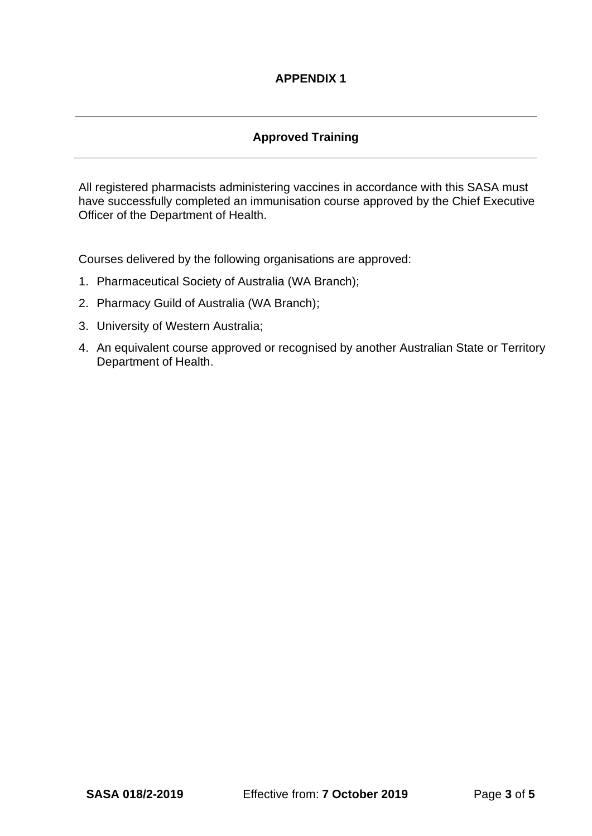# **APPENDIX 1**

### **Approved Training**

All registered pharmacists administering vaccines in accordance with this SASA must have successfully completed an immunisation course approved by the Chief Executive Officer of the Department of Health.

Courses delivered by the following organisations are approved:

- 1. Pharmaceutical Society of Australia (WA Branch);
- 2. Pharmacy Guild of Australia (WA Branch);
- 3. University of Western Australia;
- 4. An equivalent course approved or recognised by another Australian State or Territory Department of Health.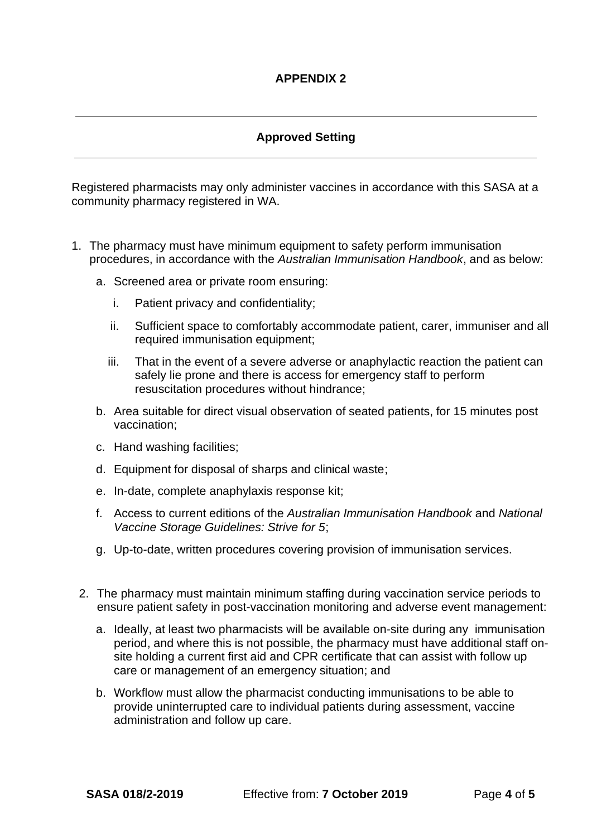## **Approved Setting**

Registered pharmacists may only administer vaccines in accordance with this SASA at a community pharmacy registered in WA.

- 1. The pharmacy must have minimum equipment to safety perform immunisation procedures, in accordance with the *Australian Immunisation Handbook*, and as below:
	- a. Screened area or private room ensuring:
		- i. Patient privacy and confidentiality;
		- ii. Sufficient space to comfortably accommodate patient, carer, immuniser and all required immunisation equipment;
		- iii. That in the event of a severe adverse or anaphylactic reaction the patient can safely lie prone and there is access for emergency staff to perform resuscitation procedures without hindrance;
	- b. Area suitable for direct visual observation of seated patients, for 15 minutes post vaccination;
	- c. Hand washing facilities;
	- d. Equipment for disposal of sharps and clinical waste;
	- e. In-date, complete anaphylaxis response kit;
	- f. Access to current editions of the *Australian Immunisation Handbook* and *National Vaccine Storage Guidelines: Strive for 5*;
	- g. Up-to-date, written procedures covering provision of immunisation services.
	- 2. The pharmacy must maintain minimum staffing during vaccination service periods to ensure patient safety in post-vaccination monitoring and adverse event management:
		- a. Ideally, at least two pharmacists will be available on-site during any immunisation period, and where this is not possible, the pharmacy must have additional staff onsite holding a current first aid and CPR certificate that can assist with follow up care or management of an emergency situation; and
		- b. Workflow must allow the pharmacist conducting immunisations to be able to provide uninterrupted care to individual patients during assessment, vaccine administration and follow up care.